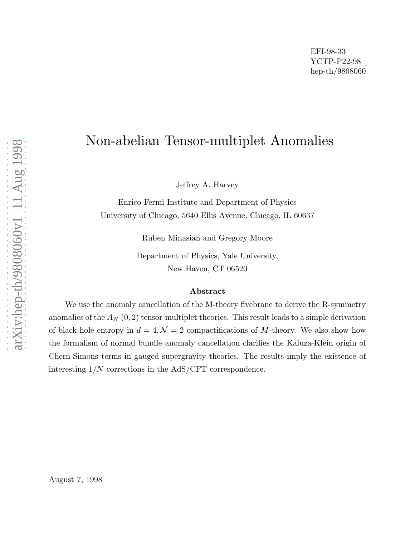# Non-abelian Tensor-multiplet Anomalies

Jeffrey A. Harvey

Enrico Fermi Institute and Department of Physics University of Chicago, 5640 Ellis Avenue, Chicago, IL 60637

Ruben Minasian and Gregory Moore

Department of Physics, Yale University, New Haven, CT 06520

#### Abstract

We use the anomaly cancellation of the M-theory fivebrane to derive the R-symmetry anomalies of the  $A_N$   $(0, 2)$  tensor-multiplet theories. This result leads to a simple derivation of black hole entropy in  $d = 4, \mathcal{N} = 2$  compactifications of M-theory. We also show how the formalism of normal bundle anomaly cancellation clarifies the Kaluza-Klein origin of Chern-Simons terms in gauged supergravity theories. The results imply the existence of interesting 1/N corrections in the AdS/CFT correspondence.

August 7, 1998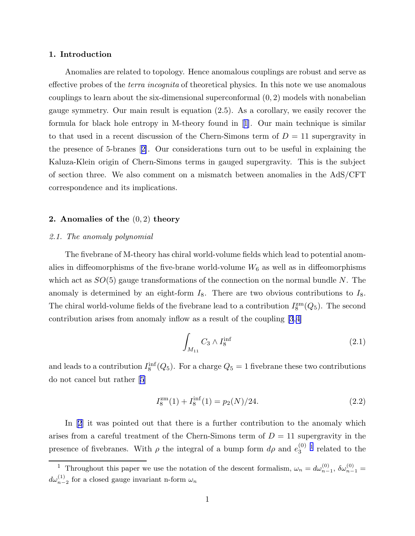### <span id="page-1-0"></span>1. Introduction

Anomalies are related to topology. Hence anomalous couplings are robust and serve as effective probes of the *terra incognita* of theoretical physics. In this note we use anomalous couplings to learn about the six-dimensional superconformal (0, 2) models with nonabelian gauge symmetry. Our main result is equation (2.5). As a corollary, we easily recover the formula for black hole entropy in M-theory found in[[1\]](#page-12-0). Our main technique is similar to that used in a recent discussion of the Chern-Simons term of  $D = 11$  supergravity in the presence of 5-branes[[2\]](#page-12-0). Our considerations turn out to be useful in explaining the Kaluza-Klein origin of Chern-Simons terms in gauged supergravity. This is the subject of section three. We also comment on a mismatch between anomalies in the AdS/CFT correspondence and its implications.

## 2. Anomalies of the  $(0, 2)$  theory

## *2.1. The anomaly polynomial*

The fivebrane of M-theory has chiral world-volume fields which lead to potential anomalies in diffeomorphisms of the five-brane world-volume  $W_6$  as well as in diffeomorphisms which act as  $SO(5)$  gauge transformations of the connection on the normal bundle N. The anomaly is determined by an eight-form  $I_8$ . There are two obvious contributions to  $I_8$ . The chiral world-volume fields of the fivebrane lead to a contribution  $I_8^{\text{zm}}(Q_5)$ . The second contribution arises from anomaly inflow as a result of the coupling [\[3](#page-12-0),[4\]](#page-12-0)

$$
\int_{M_{11}} C_3 \wedge I_8^{\text{inf}} \tag{2.1}
$$

and leads to a contribution  $I_8^{\text{inf}}(Q_5)$ . For a charge  $Q_5 = 1$  fivebrane these two contributions do not cancel but rather[[5\]](#page-12-0)

$$
I_8^{\rm zm}(1) + I_8^{\rm inf}(1) = p_2(N)/24.
$$
\n(2.2)

In [\[2](#page-12-0)] it was pointed out that there is a further contribution to the anomaly which arises from a careful treatment of the Chern-Simons term of  $D = 11$  supergravity in the presence of fivebranes. With  $\rho$  the integral of a bump form  $d\rho$  and  $e_3^{(0)}$  $_3^{(0)}$ <sup>1</sup> related to the

<sup>&</sup>lt;sup>1</sup> Throughout this paper we use the notation of the descent formalism,  $\omega_n = d\omega_{n-1}^{(0)}$ ,  $\delta\omega_{n-1}^{(0)} =$  $d\omega_{n-2}^{(1)}$  for a closed gauge invariant n-form  $\omega_n$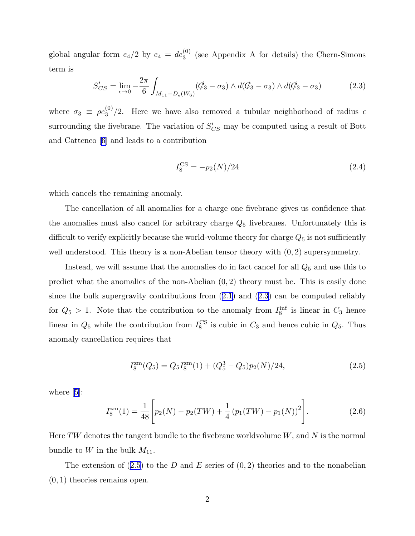<span id="page-2-0"></span>global angular form  $e_4/2$  by  $e_4 = de_3^{(0)}$  (see Appendix A for details) the Chern-Simons term is

$$
S'_{CS} = \lim_{\epsilon \to 0} -\frac{2\pi}{6} \int_{M_{11} - D_{\epsilon}(W_6)} (\mathcal{C}'_3 - \sigma_3) \wedge d(\mathcal{C}_3 - \sigma_3) \wedge d(\mathcal{C}_3 - \sigma_3) \tag{2.3}
$$

where  $\sigma_3 \equiv \rho e_3^{(0)}$  $\frac{100}{3}$  /2. Here we have also removed a tubular neighborhood of radius  $\epsilon$ surrounding the fivebrane. The variation of  $S'_{CS}$  may be computed using a result of Bott and Catteneo[[6\]](#page-12-0) and leads to a contribution

$$
I_8^{\rm CS} = -p_2(N)/24\tag{2.4}
$$

which cancels the remaining anomaly.

The cancellation of all anomalies for a charge one fivebrane gives us confidence that the anomalies must also cancel for arbitrary charge  $Q_5$  fivebranes. Unfortunately this is difficult to verify explicitly because the world-volume theory for charge  $Q_5$  is not sufficiently well understood. This theory is a non-Abelian tensor theory with  $(0, 2)$  supersymmetry.

Instead, we will assume that the anomalies do in fact cancel for all  $Q_5$  and use this to predict what the anomalies of the non-Abelian  $(0, 2)$  theory must be. This is easily done since the bulk supergravity contributions from([2.1](#page-1-0)) and (2.3) can be computed reliably for  $Q_5 > 1$ . Note that the contribution to the anomaly from  $I_8^{\text{inf}}$  is linear in  $C_3$  hence linear in  $Q_5$  while the contribution from  $I_8^{\text{CS}}$  is cubic in  $C_3$  and hence cubic in  $Q_5$ . Thus anomaly cancellation requires that

$$
I_8^{\rm zm}(Q_5) = Q_5 I_8^{\rm zm}(1) + (Q_5^3 - Q_5)p_2(N)/24,
$$
\n(2.5)

where[[5\]](#page-12-0):

$$
I_8^{\rm zm}(1) = \frac{1}{48} \left[ p_2(N) - p_2(TW) + \frac{1}{4} \left( p_1(TW) - p_1(N) \right)^2 \right]. \tag{2.6}
$$

Here TW denotes the tangent bundle to the fivebrane worldvolume  $W$ , and  $N$  is the normal bundle to W in the bulk  $M_{11}$ .

The extension of  $(2.5)$  to the D and E series of  $(0, 2)$  theories and to the nonabelian  $(0, 1)$  theories remains open.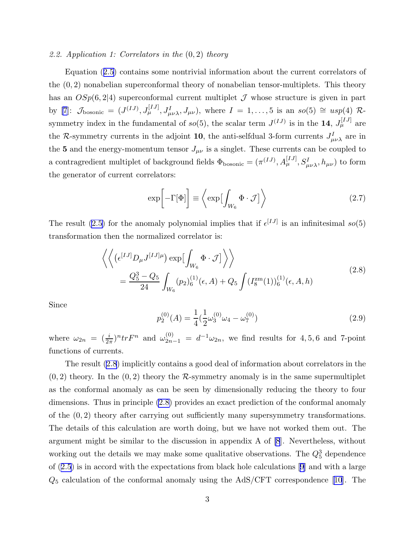#### <span id="page-3-0"></span>*2.2. Application 1: Correlators in the* (0, 2) *theory*

Equation([2.5\)](#page-2-0) contains some nontrivial information about the current correlators of the  $(0, 2)$  nonabelian superconformal theory of nonabelian tensor-multiplets. This theory has an  $OSp(6, 2|4)$  superconformal current multiplet  $\mathcal J$  whose structure is given in part by [\[7](#page-12-0)]:  $\mathcal{J}_{\text{bosonic}} = (J^{(IJ)}, J^{[IJ]}_{\mu}, J^{I}_{\mu\nu\lambda}, J_{\mu\nu}),$  where  $I = 1, ..., 5$  is an  $so(5) \cong usp(4)$  Rsymmetry index in the fundamental of  $so(5)$ , the scalar term  $J^{(IJ)}$  is in the 14,  $J^{[IJ]}_{\mu}$  are the R-symmetry currents in the adjoint 10, the anti-selfdual 3-form currents  $J^I_{\mu\nu\lambda}$  are in the 5 and the energy-momentum tensor  $J_{\mu\nu}$  is a singlet. These currents can be coupled to a contragredient multiplet of background fields  $\Phi_{bosonic} = (\pi^{(IJ)}, A_\mu^{[IJ]}, S^I_{\mu\nu\lambda}, h_{\mu\nu})$  to form the generator of current correlators:

$$
\exp\left[-\Gamma[\Phi]\right] \equiv \left\langle \exp\left[\int_{W_6} \Phi \cdot \mathcal{J}\right] \right\rangle \tag{2.7}
$$

The result [\(2.5\)](#page-2-0) for the anomaly polynomial implies that if  $\epsilon^{[IJ]}$  is an infinitesimal so(5) transformation then the normalized correlator is:

$$
\left\langle \left\langle \left( \epsilon^{[IJ]} D_{\mu} J^{[IJ] \mu} \right) \exp \left[ \int_{W_6} \Phi \cdot \mathcal{J} \right] \right\rangle \right\rangle
$$
\n
$$
= \frac{Q_5^3 - Q_5}{24} \int_{W_6} (p_2)_6^{(1)}(\epsilon, A) + Q_5 \int (I_8^{\rm zm}(1))_6^{(1)}(\epsilon, A, h) \tag{2.8}
$$

Since

$$
p_2^{(0)}(A) = \frac{1}{4} \left(\frac{1}{2}\omega_3^{(0)}\omega_4 - \omega_7^{(0)}\right)
$$
\n(2.9)

where  $\omega_{2n} = \left(\frac{i}{2\pi}\right)^n tr F^n$  and  $\omega_{2n-1}^{(0)} = d^{-1}\omega_{2n}$ , we find results for 4,5,6 and 7-point functions of currents.

The result (2.8) implicitly contains a good deal of information about correlators in the  $(0, 2)$  theory. In the  $(0, 2)$  theory the R-symmetry anomaly is in the same supermultiplet as the conformal anomaly as can be seen by dimensionally reducing the theory to four dimensions. Thus in principle (2.8) provides an exact prediction of the conformal anomaly of the  $(0, 2)$  theory after carrying out sufficiently many supersymmetry transformations. The details of this calculation are worth doing, but we have not worked them out. The argument might be similar to the discussion in appendix A of [\[8](#page-12-0)]. Nevertheless, without working out the details we may make some qualitative observations. The  $Q_5^3$  dependence of([2.5](#page-2-0)) is in accord with the expectations from black hole calculations[[9\]](#page-12-0) and with a large  $Q_5$  calculation of the conformal anomaly using the AdS/CFT correspondence [\[10](#page-12-0)]. The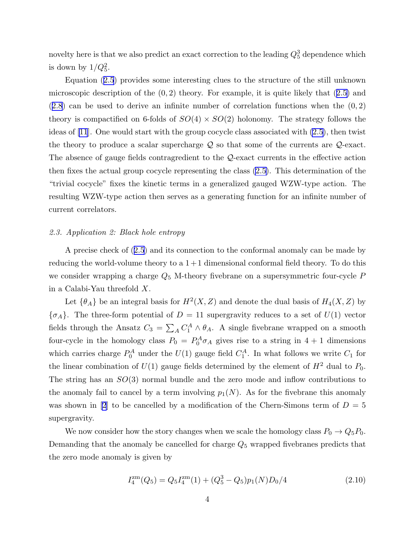<span id="page-4-0"></span>novelty here is that we also predict an exact correction to the leading  $Q_5^3$  dependence which is down by  $1/Q_5^2$ .

Equation([2.5](#page-2-0)) provides some interesting clues to the structure of the still unknown microscopicdescription of the  $(0, 2)$  theory. For example, it is quite likely that  $(2.5)$  $(2.5)$  and  $(2.8)$  $(2.8)$  $(2.8)$  can be used to derive an infinite number of correlation functions when the  $(0, 2)$ theory is compactified on 6-folds of  $SO(4) \times SO(2)$  holonomy. The strategy follows the ideas of [\[11](#page-12-0)]. One would start with the group cocycle class associated with [\(2.5\)](#page-2-0), then twist the theory to produce a scalar supercharge  $Q$  so that some of the currents are  $Q$ -exact. The absence of gauge fields contragredient to the Q-exact currents in the effective action then fixes the actual group cocycle representing the class [\(2.5\)](#page-2-0). This determination of the "trivial cocycle" fixes the kinetic terms in a generalized gauged WZW-type action. The resulting WZW-type action then serves as a generating function for an infinite number of current correlators.

## *2.3. Application 2: Black hole entropy*

A precise check of([2.5\)](#page-2-0) and its connection to the conformal anomaly can be made by reducing the world-volume theory to a  $1+1$  dimensional conformal field theory. To do this we consider wrapping a charge  $Q_5$  M-theory fivebrane on a supersymmetric four-cycle  $P$ in a Calabi-Yau threefold X.

Let  $\{\theta_A\}$  be an integral basis for  $H^2(X, Z)$  and denote the dual basis of  $H_4(X, Z)$  by  ${\sigma_A}$ . The three-form potential of  $D = 11$  supergravity reduces to a set of  $U(1)$  vector fields through the Ansatz  $C_3 = \sum_A C_1^A \wedge \theta_A$ . A single fivebrane wrapped on a smooth four-cycle in the homology class  $P_0 = P_0^A \sigma_A$  gives rise to a string in  $4 + 1$  dimensions which carries charge  $P_0^A$  under the  $U(1)$  gauge field  $C_1^A$ . In what follows we write  $C_1$  for the linear combination of  $U(1)$  gauge fields determined by the element of  $H^2$  dual to  $P_0$ . The string has an  $SO(3)$  normal bundle and the zero mode and inflow contributions to the anomaly fail to cancel by a term involving  $p_1(N)$ . As for the fivebrane this anomaly was shown in [\[2](#page-12-0)] to be cancelled by a modification of the Chern-Simons term of  $D = 5$ supergravity.

We now consider how the story changes when we scale the homology class  $P_0 \to Q_5 P_0$ . Demanding that the anomaly be cancelled for charge  $Q_5$  wrapped fivebranes predicts that the zero mode anomaly is given by

$$
I_4^{\rm zm}(Q_5) = Q_5 I_4^{\rm zm}(1) + (Q_5^3 - Q_5) p_1(N) D_0/4 \tag{2.10}
$$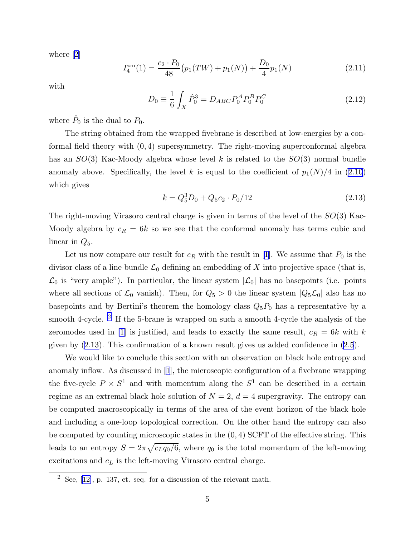where[[2\]](#page-12-0)

$$
I_4^{\rm zm}(1) = \frac{c_2 \cdot P_0}{48} \big( p_1(TW) + p_1(N) \big) + \frac{D_0}{4} p_1(N) \tag{2.11}
$$

with

$$
D_0 \equiv \frac{1}{6} \int_X \hat{P}_0^3 = D_{ABC} P_0^A P_0^B P_0^C \tag{2.12}
$$

where  $\hat{P}_0$  is the dual to  $P_0$ .

The string obtained from the wrapped fivebrane is described at low-energies by a conformal field theory with  $(0, 4)$  supersymmetry. The right-moving superconformal algebra has an  $SO(3)$  Kac-Moody algebra whose level k is related to the  $SO(3)$  normal bundle anomaly above. Specifically, the level k is equal to the coefficient of  $p_1(N)/4$  in [\(2.10](#page-4-0)) which gives

$$
k = Q_5^3 D_0 + Q_5 c_2 \cdot P_0 / 12 \tag{2.13}
$$

The right-moving Virasoro central charge is given in terms of the level of the  $SO(3)$  Kac-Moody algebra by  $c_R = 6k$  so we see that the conformal anomaly has terms cubic and linear in  $Q_5$ .

Let us now compare our result for  $c_R$  with the result in [\[1](#page-12-0)]. We assume that  $P_0$  is the divisor class of a line bundle  $\mathcal{L}_0$  defining an embedding of X into projective space (that is,  $\mathcal{L}_0$  is "very ample"). In particular, the linear system  $|\mathcal{L}_0|$  has no basepoints (i.e. points where all sections of  $\mathcal{L}_0$  vanish). Then, for  $Q_5 > 0$  the linear system  $|Q_5\mathcal{L}_0|$  also has no basepoints and by Bertini's theorem the homology class  $Q_5P_0$  has a representative by a smooth 4-cycle. <sup>2</sup> If the 5-brane is wrapped on such a smooth 4-cycle the analysis of the zeromodes used in [\[1](#page-12-0)] is justified, and leads to exactly the same result,  $c_R = 6k$  with k given by (2.13). This confirmation of a known result gives us added confidence in [\(2.5](#page-2-0)).

We would like to conclude this section with an observation on black hole entropy and anomaly inflow. As discussed in[[1](#page-12-0)], the microscopic configuration of a fivebrane wrapping the five-cycle  $P \times S^1$  and with momentum along the  $S^1$  can be described in a certain regime as an extremal black hole solution of  $N = 2$ ,  $d = 4$  supergravity. The entropy can be computed macroscopically in terms of the area of the event horizon of the black hole and including a one-loop topological correction. On the other hand the entropy can also be computed by counting microscopic states in the  $(0, 4)$  SCFT of the effective string. This leads to an entropy  $S = 2\pi \sqrt{c_L q_0/6}$ , where  $q_0$  is the total momentum of the left-moving excitations and  $c<sub>L</sub>$  is the left-moving Virasoro central charge.

 $2$ See, [[12\]](#page-12-0), p. 137, et. seq. for a discussion of the relevant math.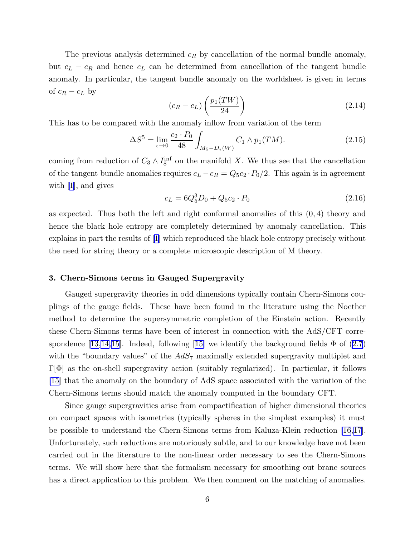The previous analysis determined  $c_R$  by cancellation of the normal bundle anomaly, but  $c_L - c_R$  and hence  $c_L$  can be determined from cancellation of the tangent bundle anomaly. In particular, the tangent bundle anomaly on the worldsheet is given in terms of  $c_R - c_L$  by

$$
(c_R - c_L) \left(\frac{p_1(TW)}{24}\right) \tag{2.14}
$$

This has to be compared with the anomaly inflow from variation of the term

$$
\Delta S^5 = \lim_{\epsilon \to 0} \frac{c_2 \cdot P_0}{48} \int_{M_5 - D_{\epsilon}(W)} C_1 \wedge p_1(TM). \tag{2.15}
$$

coming from reduction of  $C_3 \wedge I_8^{\text{inf}}$  on the manifold X. We thus see that the cancellation of the tangent bundle anomalies requires  $c_L - c_R = Q_5 c_2 \cdot P_0/2$ . This again is in agreement with[[1\]](#page-12-0), and gives

$$
c_L = 6Q_5^3 D_0 + Q_5 c_2 \cdot P_0 \tag{2.16}
$$

as expected. Thus both the left and right conformal anomalies of this  $(0, 4)$  theory and hence the black hole entropy are completely determined by anomaly cancellation. This explains in part the results of[[1](#page-12-0)] which reproduced the black hole entropy precisely without the need for string theory or a complete microscopic description of M theory.

## 3. Chern-Simons terms in Gauged Supergravity

Gauged supergravity theories in odd dimensions typically contain Chern-Simons couplings of the gauge fields. These have been found in the literature using the Noether method to determine the supersymmetric completion of the Einstein action. Recently these Chern-Simons terms have been of interest in connection with the AdS/CFT corre-spondence[[13,14,15](#page-12-0)]. Indeed, following [[15\]](#page-12-0) we identify the background fields  $\Phi$  of [\(2.7](#page-3-0)) with the "boundary values" of the  $AdS_7$  maximally extended supergravity multiplet and  $\Gamma[\Phi]$  as the on-shell supergravity action (suitably regularized). In particular, it follows [\[15](#page-12-0)] that the anomaly on the boundary of AdS space associated with the variation of the Chern-Simons terms should match the anomaly computed in the boundary CFT.

Since gauge supergravities arise from compactification of higher dimensional theories on compact spaces with isometries (typically spheres in the simplest examples) it must be possible to understand the Chern-Simons terms from Kaluza-Klein reduction [\[16](#page-12-0),[17\]](#page-12-0). Unfortunately, such reductions are notoriously subtle, and to our knowledge have not been carried out in the literature to the non-linear order necessary to see the Chern-Simons terms. We will show here that the formalism necessary for smoothing out brane sources has a direct application to this problem. We then comment on the matching of anomalies.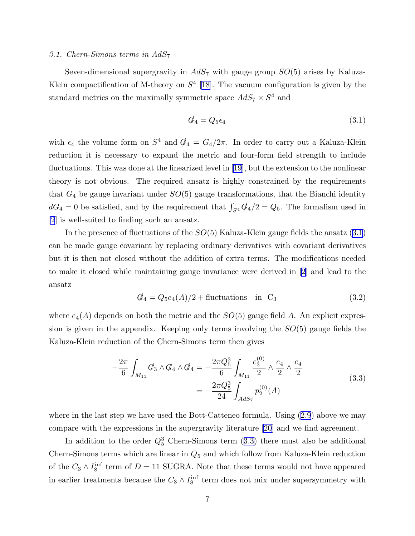#### <span id="page-7-0"></span>*3.1. Chern-Simons terms in* AdS<sup>7</sup>

Seven-dimensional supergravity in  $AdS_7$  with gauge group  $SO(5)$  arises by Kaluza-Klein compactification of M-theory on  $S<sup>4</sup>$  [[18\]](#page-12-0). The vacuum configuration is given by the standard metrics on the maximally symmetric space  $AdS_7 \times S^4$  and

$$
\mathcal{G}_4 = Q_5 \epsilon_4 \tag{3.1}
$$

with  $\epsilon_4$  the volume form on  $S^4$  and  $\mathcal{G}_4 = G_4/2\pi$ . In order to carry out a Kaluza-Klein reduction it is necessary to expand the metric and four-form field strength to include fluctuations. This was done at the linearized level in[[19\]](#page-12-0), but the extension to the nonlinear theory is not obvious. The required ansatz is highly constrained by the requirements that  $G_4$  be gauge invariant under  $SO(5)$  gauge transformations, that the Bianchi identity  $dG_4 = 0$  be satisfied, and by the requirement that  $\int_{S^4} \mathcal{G}_4/2 = Q_5$ . The formalism used in [\[2](#page-12-0)] is well-suited to finding such an ansatz.

In the presence of fluctuations of the  $SO(5)$  Kaluza-Klein gauge fields the ansatz (3.1) can be made gauge covariant by replacing ordinary derivatives with covariant derivatives but it is then not closed without the addition of extra terms. The modifications needed to make it closed while maintaining gauge invariance were derived in [\[2](#page-12-0)] and lead to the ansatz

$$
\mathcal{G}_4 = Q_5 e_4(A)/2 + \text{fluctuations} \quad \text{in} \quad C_3 \tag{3.2}
$$

where  $e_4(A)$  depends on both the metric and the  $SO(5)$  gauge field A. An explicit expression is given in the appendix. Keeping only terms involving the  $SO(5)$  gauge fields the Kaluza-Klein reduction of the Chern-Simons term then gives

$$
-\frac{2\pi}{6} \int_{M_{11}} \mathcal{G}_3 \wedge \mathcal{G}_4 \wedge \mathcal{G}_4 = -\frac{2\pi Q_5^3}{6} \int_{M_{11}} \frac{e_3^{(0)}}{2} \wedge \frac{e_4}{2} \wedge \frac{e_4}{2} = -\frac{2\pi Q_5^3}{24} \int_{AdS_7} p_2^{(0)}(A)
$$
(3.3)

wherein the last step we have used the Bott-Catteneo formula. Using  $(2.9)$  $(2.9)$  $(2.9)$  above we may compare with the expressions in the supergravity literature [\[20](#page-12-0)] and we find agreement.

In addition to the order  $Q_5^3$  Chern-Simons term  $(3.3)$  there must also be additional Chern-Simons terms which are linear in  $Q_5$  and which follow from Kaluza-Klein reduction of the  $C_3 \wedge I_8^{\text{inf}}$  term of  $D = 11$  SUGRA. Note that these terms would not have appeared in earlier treatments because the  $C_3 \wedge I_8^{\text{inf}}$  term does not mix under supersymmetry with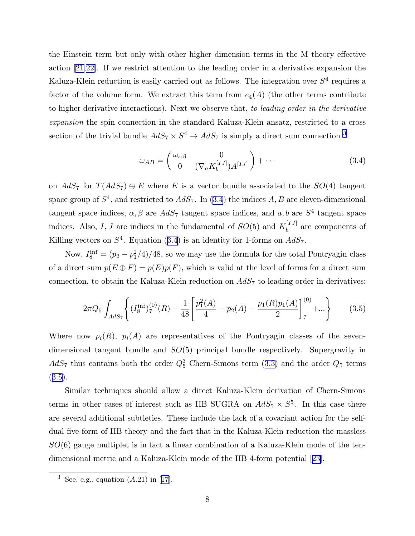<span id="page-8-0"></span>the Einstein term but only with other higher dimension terms in the M theory effective action[[21,22](#page-13-0)]. If we restrict attention to the leading order in a derivative expansion the Kaluza-Klein reduction is easily carried out as follows. The integration over  $S<sup>4</sup>$  requires a factor of the volume form. We extract this term from  $e_4(A)$  (the other terms contribute to higher derivative interactions). Next we observe that, *to leading order in the derivative expansion* the spin connection in the standard Kaluza-Klein ansatz, restricted to a cross section of the trivial bundle  $AdS_7 \times S^4 \rightarrow AdS_7$  is simply a direct sum connection <sup>3</sup>

$$
\omega_{AB} = \begin{pmatrix} \omega_{\alpha\beta} & 0\\ 0 & (\nabla_a K_b^{[IJ]}) A^{[IJ]} \end{pmatrix} + \cdots
$$
\n(3.4)

on  $AdS_7$  for  $T(AdS_7) \oplus E$  where E is a vector bundle associated to the  $SO(4)$  tangent space group of  $S^4$ , and restricted to  $AdS_7$ . In (3.4) the indices A, B are eleven-dimensional tangent space indices,  $\alpha$ ,  $\beta$  are  $AdS_7$  tangent space indices, and  $a$ ,  $b$  are  $S^4$  tangent space indices. Also, I, J are indices in the fundamental of  $SO(5)$  and  $K_h^{[IJ]}$  $b^{[IJ]}$  are components of Killing vectors on  $S^4$ . Equation (3.4) is an identity for 1-forms on  $AdS_7$ .

Now,  $I_8^{\text{inf}} = (p_2 - p_1^2/4)/48$ , so we may use the formula for the total Pontryagin class of a direct sum  $p(E \oplus F) = p(E)p(F)$ , which is valid at the level of forms for a direct sum connection, to obtain the Kaluza-Klein reduction on  $AdS_7$  to leading order in derivatives:

$$
2\pi Q_5 \int_{AdS_7} \left\{ (I_8^{\text{inf}})_7^{(0)}(R) - \frac{1}{48} \left[ \frac{p_1^2(A)}{4} - p_2(A) - \frac{p_1(R)p_1(A)}{2} \right]_7^{(0)} + \dots \right\} \tag{3.5}
$$

Where now  $p_i(R)$ ,  $p_i(A)$  are representatives of the Pontryagin classes of the sevendimensional tangent bundle and SO(5) principal bundle respectively. Supergravity in  $AdS_7$ thus contains both the order  $Q_5^3$  Chern-Simons term ([3.3\)](#page-7-0) and the order  $Q_5$  terms  $(3.5).$ 

Similar techniques should allow a direct Kaluza-Klein derivation of Chern-Simons terms in other cases of interest such as IIB SUGRA on  $AdS_5 \times S^5$ . In this case there are several additional subtleties. These include the lack of a covariant action for the selfdual five-form of IIB theory and the fact that in the Kaluza-Klein reduction the massless  $SO(6)$  gauge multiplet is in fact a linear combination of a Kaluza-Klein mode of the tendimensional metric and a Kaluza-Klein mode of the IIB 4-form potential[[23\]](#page-13-0).

<sup>&</sup>lt;sup>3</sup>See, e.g., equation  $(A.21)$  in [[17\]](#page-12-0).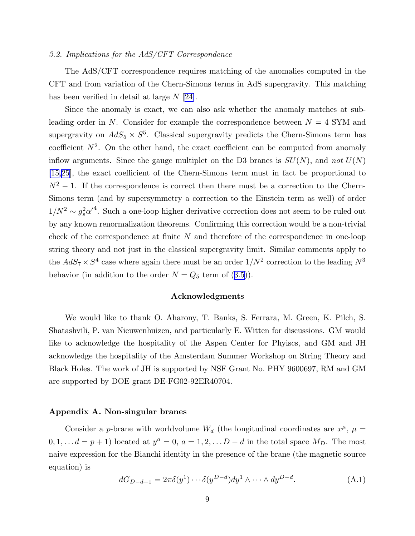### <span id="page-9-0"></span>*3.2. Implications for the AdS/CFT Correspondence*

The AdS/CFT correspondence requires matching of the anomalies computed in the CFT and from variation of the Chern-Simons terms in AdS supergravity. This matching has been verified in detail at large  $N$  [[24\]](#page-13-0).

Since the anomaly is exact, we can also ask whether the anomaly matches at subleading order in N. Consider for example the correspondence between  $N = 4$  SYM and supergravity on  $AdS_5 \times S^5$ . Classical supergravity predicts the Chern-Simons term has coefficient  $N^2$ . On the other hand, the exact coefficient can be computed from anomaly inflow arguments. Since the gauge multiplet on the D3 branes is  $SU(N)$ , and *not*  $U(N)$ [\[15](#page-12-0),[25\]](#page-13-0), the exact coefficient of the Chern-Simons term must in fact be proportional to  $N^2 - 1$ . If the correspondence is correct then there must be a correction to the Chern-Simons term (and by supersymmetry a correction to the Einstein term as well) of order  $1/N^2 \sim g_s^2 {\alpha'}^4$ . Such a one-loop higher derivative correction does not seem to be ruled out by any known renormalization theorems. Confirming this correction would be a non-trivial check of the correspondence at finite  $N$  and therefore of the correspondence in one-loop string theory and not just in the classical supergravity limit. Similar comments apply to the  $AdS_7 \times S^4$  case where again there must be an order  $1/N^2$  correction to the leading  $N^3$ behavior(in addition to the order  $N = Q_5$  term of ([3.5\)](#page-8-0)).

#### Acknowledgments

We would like to thank O. Aharony, T. Banks, S. Ferrara, M. Green, K. Pilch, S. Shatashvili, P. van Nieuwenhuizen, and particularly E. Witten for discussions. GM would like to acknowledge the hospitality of the Aspen Center for Phyiscs, and GM and JH acknowledge the hospitality of the Amsterdam Summer Workshop on String Theory and Black Holes. The work of JH is supported by NSF Grant No. PHY 9600697, RM and GM are supported by DOE grant DE-FG02-92ER40704.

## Appendix A. Non-singular branes

Consider a p-brane with worldvolume  $W_d$  (the longitudinal coordinates are  $x^{\mu}$ ,  $\mu =$  $0, 1, \ldots, d = p + 1$  located at  $y^a = 0, a = 1, 2, \ldots, D - d$  in the total space  $M_D$ . The most naive expression for the Bianchi identity in the presence of the brane (the magnetic source equation) is

$$
dG_{D-d-1} = 2\pi \delta(y^1) \cdots \delta(y^{D-d}) dy^1 \wedge \cdots \wedge dy^{D-d}.
$$
 (A.1)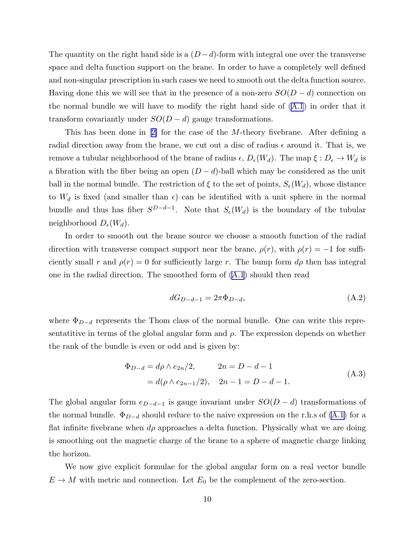The quantity on the right hand side is a  $(D - d)$ -form with integral one over the transverse space and delta function support on the brane. In order to have a completely well defined and non-singular prescription in such cases we need to smooth out the delta function source. Having done this we will see that in the presence of a non-zero  $SO(D-d)$  connection on the normal bundle we will have to modify the right hand side of ([A.1](#page-9-0)) in order that it transform covariantly under  $SO(D - d)$  gauge transformations.

Thishas been done in  $[2]$  $[2]$  for the case of the M-theory fivebrane. After defining a radial direction away from the brane, we cut out a disc of radius  $\epsilon$  around it. That is, we remove a tubular neighborhood of the brane of radius  $\epsilon$ ,  $D_{\epsilon}(W_d)$ . The map  $\xi : D_{\epsilon} \to W_d$  is a fibration with the fiber being an open  $(D - d)$ -ball which may be considered as the unit ball in the normal bundle. The restriction of  $\xi$  to the set of points,  $S_{\epsilon}(W_d)$ , whose distance to  $W_d$  is fixed (and smaller than  $\epsilon$ ) can be identified with a unit sphere in the normal bundle and thus has fiber  $S^{D-d-1}$ . Note that  $S_{\epsilon}(W_d)$  is the boundary of the tubular neighborhood  $D_{\epsilon}(W_d)$ .

In order to smooth out the brane source we choose a smooth function of the radial direction with transverse compact support near the brane,  $\rho(r)$ , with  $\rho(r) = -1$  for sufficiently small r and  $\rho(r) = 0$  for sufficiently large r. The bump form  $d\rho$  then has integral one in the radial direction. The smoothed form of [\(A.1](#page-9-0)) should then read

$$
dG_{D-d-1} = 2\pi \Phi_{D-d},\tag{A.2}
$$

where  $\Phi_{D-d}$  represents the Thom class of the normal bundle. One can write this representatitive in terms of the global angular form and  $\rho$ . The expression depends on whether the rank of the bundle is even or odd and is given by:

$$
\Phi_{D-d} = d\rho \wedge e_{2n}/2, \qquad 2n = D - d - 1
$$
  
=  $d(\rho \wedge e_{2n-1}/2), \quad 2n - 1 = D - d - 1.$  (A.3)

The global angular form  $e_{D-d-1}$  is gauge invariant under  $SO(D-d)$  transformations of the normal bundle.  $\Phi_{D-d}$  should reduce to the naive expression on the r.h.s of [\(A.1\)](#page-9-0) for a flat infinite fivebrane when  $d\rho$  approaches a delta function. Physically what we are doing is smoothing out the magnetic charge of the brane to a sphere of magnetic charge linking the horizon.

We now give explicit formulae for the global angular form on a real vector bundle  $E \to M$  with metric and connection. Let  $E_0$  be the complement of the zero-section.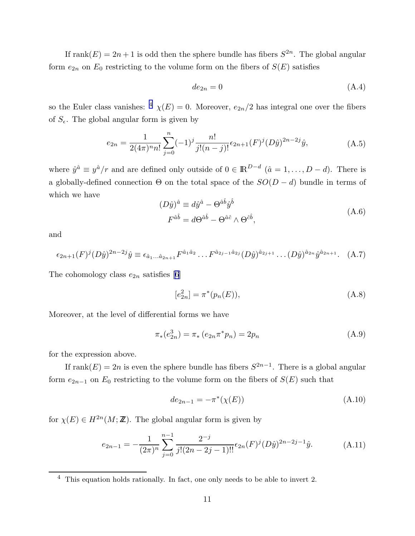If rank $(E) = 2n + 1$  is odd then the sphere bundle has fibers  $S^{2n}$ . The global angular form  $e_{2n}$  on  $E_0$  restricting to the volume form on the fibers of  $S(E)$  satisfies

$$
de_{2n} = 0 \tag{A.4}
$$

so the Euler class vanishes: <sup>4</sup>  $\chi(E) = 0$ . Moreover,  $e_{2n}/2$  has integral one over the fibers of  $S_{\epsilon}$ . The global angular form is given by

$$
e_{2n} = \frac{1}{2(4\pi)^n n!} \sum_{j=0}^n (-1)^j \frac{n!}{j!(n-j)!} \epsilon_{2n+1}(F)^j (D\hat{y})^{2n-2j} \hat{y},\tag{A.5}
$$

where  $\hat{y}^{\hat{a}} \equiv y^{\hat{a}}/r$  and are defined only outside of  $0 \in \mathbb{R}^{D-d}$   $(\hat{a} = 1, \ldots, D-d)$ . There is a globally-defined connection  $\Theta$  on the total space of the  $SO(D-d)$  bundle in terms of which we have

$$
(D\hat{y})^{\hat{a}} \equiv d\hat{y}^{\hat{a}} - \Theta^{\hat{a}\hat{b}}\hat{y}^{\hat{b}}
$$
  

$$
F^{\hat{a}\hat{b}} = d\Theta^{\hat{a}\hat{b}} - \Theta^{\hat{a}\hat{c}} \wedge \Theta^{\hat{c}\hat{b}},
$$
 (A.6)

and

$$
\epsilon_{2n+1}(F)^j (D\hat{y})^{2n-2j} \hat{y} \equiv \epsilon_{\hat{a}_1...\hat{a}_{2n+1}} F^{\hat{a}_1 \hat{a}_2} \dots F^{\hat{a}_{2j-1} \hat{a}_{2j}} (D\hat{y})^{\hat{a}_{2j+1}} \dots (D\hat{y})^{\hat{a}_{2n}} \hat{y}^{\hat{a}_{2n+1}}. (A.7)
$$

The cohomology class  $e_{2n}$  satisfies [\[6](#page-12-0)]

$$
[e_{2n}^2] = \pi^*(p_n(E)),\tag{A.8}
$$

Moreover, at the level of differential forms we have

$$
\pi_*(e_{2n}^3) = \pi_* (e_{2n} \pi^* p_n) = 2p_n \tag{A.9}
$$

for the expression above.

If rank $(E) = 2n$  is even the sphere bundle has fibers  $S^{2n-1}$ . There is a global angular form  $e_{2n-1}$  on  $E_0$  restricting to the volume form on the fibers of  $S(E)$  such that

$$
de_{2n-1} = -\pi^*(\chi(E))
$$
\n(A.10)

for  $\chi(E) \in H^{2n}(M; \mathbb{Z})$ . The global angular form is given by

$$
e_{2n-1} = -\frac{1}{(2\pi)^n} \sum_{j=0}^{n-1} \frac{2^{-j}}{j!(2n-2j-1)!!} \epsilon_{2n}(F)^j (D\hat{y})^{2n-2j-1} \hat{y}.
$$
 (A.11)

 $4$  This equation holds rationally. In fact, one only needs to be able to invert 2.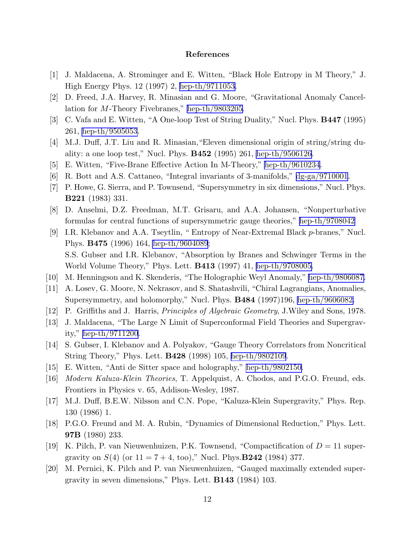## References

- <span id="page-12-0"></span>[1] J. Maldacena, A. Strominger and E. Witten, "Black Hole Entropy in M Theory," J. High Energy Phys. 12 (1997) 2, [hep-th/9711053.](http://arxiv.org/abs/hep-th/9711053)
- [2] D. Freed, J.A. Harvey, R. Minasian and G. Moore, "Gravitational Anomaly Cancellation for M-Theory Fivebranes," [hep-th/9803205.](http://arxiv.org/abs/hep-th/9803205)
- [3] C. Vafa and E. Witten, "A One-loop Test of String Duality," Nucl. Phys. B447 (1995) 261, [hep-th/9505053.](http://arxiv.org/abs/hep-th/9505053)
- [4] M.J. Duff, J.T. Liu and R. Minasian,"Eleven dimensional origin of string/string duality: a one loop test," Nucl. Phys.  $B452$  (1995) 261, [hep-th/9506126](http://arxiv.org/abs/hep-th/9506126).
- [5] E. Witten, "Five-Brane Effective Action In M-Theory," [hep-th/9610234](http://arxiv.org/abs/hep-th/9610234).
- [6] R. Bott and A.S. Cattaneo, "Integral invariants of 3-manifolds," [dg-ga/9710001](http://arxiv.org/abs/dg-ga/9710001).
- [7] P. Howe, G. Sierra, and P. Townsend, "Supersymmetry in six dimensions," Nucl. Phys. B221 (1983) 331.
- [8] D. Anselmi, D.Z. Freedman, M.T. Grisaru, and A.A. Johansen, "Nonperturbative formulas for central functions of supersymmetric gauge theories," [hep-th/9708042](http://arxiv.org/abs/hep-th/9708042)
- [9] I.R. Klebanov and A.A. Tseytlin, " Entropy of Near-Extremal Black p-branes," Nucl. Phys. B475 (1996) 164, [hep-th/9604089](http://arxiv.org/abs/hep-th/9604089); S.S. Gubser and I.R. Klebanov, "Absorption by Branes and Schwinger Terms in the World Volume Theory," Phys. Lett. B413 (1997) 41, [hep-th/9708005.](http://arxiv.org/abs/hep-th/9708005)
- [10] M. Henningson and K. Skenderis, "The Holographic Weyl Anomaly," [hep-th/9806087.](http://arxiv.org/abs/hep-th/9806087)
- [11] A. Losev, G. Moore, N. Nekrasov, and S. Shatashvili, "Chiral Lagrangians, Anomalies, Supersymmetry, and holomorphy," Nucl. Phys. **B484** (1997)196, [hep-th/9606082.](http://arxiv.org/abs/hep-th/9606082)
- [12] P. Griffiths and J. Harris, *Principles of Algebraic Geometry*, J.Wiley and Sons, 1978.
- [13] J. Maldacena, "The Large N Limit of Superconformal Field Theories and Supergravity," [hep-th/9711200.](http://arxiv.org/abs/hep-th/9711200)
- [14] S. Gubser, I. Klebanov and A. Polyakov, "Gauge Theory Correlators from Noncritical String Theory," Phys. Lett. B428 (1998) 105, [hep-th/9802109](http://arxiv.org/abs/hep-th/9802109).
- [15] E. Witten, "Anti de Sitter space and holography," [hep-th/9802150.](http://arxiv.org/abs/hep-th/9802150)
- [16] *Modern Kaluza-Klein Theories*, T. Appelquist, A. Chodos, and P.G.O. Freund, eds. Frontiers in Physics v. 65, Addison-Wesley, 1987.
- [17] M.J. Duff, B.E.W. Nilsson and C.N. Pope, "Kaluza-Klein Supergravity," Phys. Rep. 130 (1986) 1.
- [18] P.G.O. Freund and M. A. Rubin, "Dynamics of Dimensional Reduction," Phys. Lett. 97B (1980) 233.
- [19] K. Pilch, P. van Nieuwenhuizen, P.K. Townsend, "Compactification of  $D = 11$  supergravity on  $S(4)$  (or  $11 = 7 + 4$ , too)," Nucl. Phys.**B242** (1984) 377.
- [20] M. Pernici, K. Pilch and P. van Nieuwenhuizen, "Gauged maximally extended supergravity in seven dimensions," Phys. Lett. B143 (1984) 103.